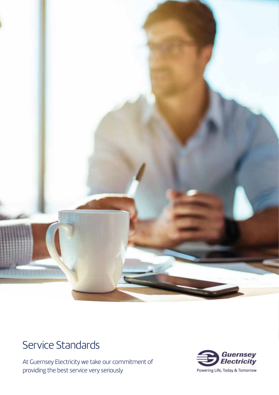

## Service Standards

providing the best service very seriously expression of the service very seriously At Guernsey Electricity we take our commitment of

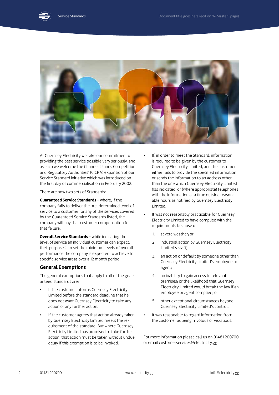

At Guernsey Electricity we take our commitment of providing the best service possible very seriously, and as such we welcome the Channel Islands Competition and Regulatory Authorities' (CICRA) expansion of our Service Standard initiative which was introduced on the first day of commercialisation in February 2002.

There are now two sets of Standards:

**Guaranteed Service Standards** - where, if the company fails to deliver the pre-determined level of service to a customer for any of the services covered by the Guaranteed Service Standards listed, the company will pay that customer compensation for that failure.

**Overall Service Standards** - while indicating the level of service an individual customer can expect, their purpose is to set the minimum levels of overall performance the company is expected to achieve for specific service areas over a 12 month period.

## **General Exemptions**

The general exemptions that apply to all of the guaranteed standards are:

- If the customer informs Guernsey Electricity Limited before the standard deadline that he does not want Guernsey Electricity to take any action or any further action.
- If the customer agrees that action already taken by Guernsey Electricity Limited meets the requirement of the standard. But where Guernsey Electricity Limited has promised to take further action, that action must be taken without undue delay if this exemption is to be invoked.
- If, in order to meet the Standard, information is required to be given by the customer to Guernsey Electricity Limited, and the customer either fails to provide the specified information or sends the information to an address other than the one which Guernsey Electricity Limited has indicated, or (where appropriate) telephones with the information at a time outside reasonable hours as notified by Guernsey Electricity Limited.
- It was not reasonably practicable for Guernsey Electricity Limited to have complied with the requirements because of:
	- 1. severe weather; or
	- 2. industrial action by Guernsey Electricity Limited's staff;
	- 3. an action or default by someone other than Guernsey Electricity Limited's employee or agent;
	- 4. an inability to gain access to relevant premises; or the likelihood that Guernsey Electricity Limited would break the law if an employee or agent complied; or
	- 5. other exceptional circumstances beyond Guernsey Electricity Limited's control.
- It was reasonable to regard information from the customer as being frivolous or vexatious.

For more information please call us on 01481 200700 or email customerservices@electricity.gg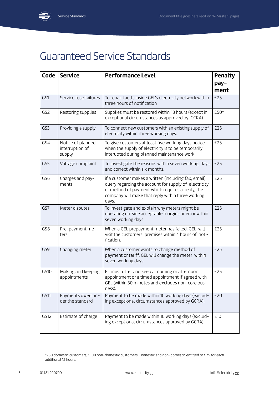## Guaranteed Service Standards

| <b>Code</b>     | <b>Service</b>                                 | <b>Performance Level</b>                                                                                                                                                                                                        | Penalty<br>pay-<br>ment |
|-----------------|------------------------------------------------|---------------------------------------------------------------------------------------------------------------------------------------------------------------------------------------------------------------------------------|-------------------------|
| GS1             | Service fuse failures                          | To repair faults inside GEL's electricity network within<br>three hours of notification                                                                                                                                         | £25                     |
| GS <sub>2</sub> | Restoring supplies                             | Supplies must be restored within 18 hours (except in<br>exceptional circumstances as approved by GCRA).                                                                                                                         | £50*                    |
| GS3             | Providing a supply                             | To connect new customers with an existing supply of<br>electricity within three working days.                                                                                                                                   | £25                     |
| GS4             | Notice of planned<br>interruption of<br>supply | To give customers at least five working days notice<br>when the supply of electricity is to be temporarily<br>interupted during planned maintenance work                                                                        | £25                     |
| GS5             | Voltage complaint                              | To investigate the reasons within seven working days<br>and correct within six months.                                                                                                                                          | £25                     |
| GS <sub>6</sub> | Charges and pay-<br>ments                      | if a customer makes a written (including fax, email)<br>query regarding the account for supply of electricity<br>or method of payment which requires a reply, the<br>company will make that reply within three working<br>days. | £25                     |
| GS7             | Meter disputes                                 | To investigate and explain why meters might be<br>operating outside acceptable margins or error within<br>seven working days                                                                                                    | £25                     |
| GS8             | Pre-payment me-<br>ters                        | When a GEL prepayment meter has failed, GEL will<br>visit the customers' premises within 4 hours of noti-<br>fication.                                                                                                          | £25                     |
| GS9             | Changing meter                                 | When a customer wants to change method of<br>payment or tariff, GEL will change the meter within<br>seven working days.                                                                                                         | £25                     |
| GS10            | Making and keeping<br>appointments             | EL must offer and keep a morning or afternoon<br>appointment or a timed appointment if agreed with<br>GEL (within 30 minutes and excludes non-core busi-<br>ness).                                                              | £25                     |
| GS11            | Payments owed un-<br>der the standard          | Payment to be made within 10 working days (exclud-<br>ing exceptional circumstances approved by GCRA).                                                                                                                          | £20                     |
| GS12            | Estimate of charge                             | Payment to be made within 10 working days (exclud-<br>ing exceptional circumstances approved by GCRA).                                                                                                                          | £10                     |

\*£50 domestic customers, £100 non-domestic customers. Domestic and non-domestic entitled to £25 for each additional 12 hours.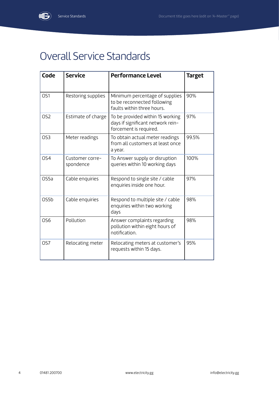## Overall Service Standards

| Code            | <b>Service</b>               | <b>Performance Level</b>                                                                        | <b>Target</b> |
|-----------------|------------------------------|-------------------------------------------------------------------------------------------------|---------------|
| OS1             | Restoring supplies           | Minimum percentage of supplies<br>to be reconnected following<br>faults within three hours.     | 90%           |
| OS <sub>2</sub> | Estimate of charge           | To be provided within 15 working<br>days if significant network rein-<br>forcement is required. | 97%           |
| OS <sub>3</sub> | Meter readings               | To obtain actual meter readings<br>from all customers at least once<br>a year.                  | 99.5%         |
| OS4             | Customer corre-<br>spondence | To Answer supply or disruption<br>queries within 10 working days                                | 100%          |
| OS5a            | Cable enquiries              | Respond to single site / cable<br>enquiries inside one hour.                                    | 97%           |
| OS5b            | Cable enquiries              | Respond to multiple site / cable<br>enquiries within two working<br>days                        | 98%           |
| OS <sub>6</sub> | Pollution                    | Answer complaints regarding<br>pollution within eight hours of<br>notification.                 | 98%           |
| OS7             | Relocating meter             | Relocating meters at customer's<br>requests within 15 days.                                     | 95%           |